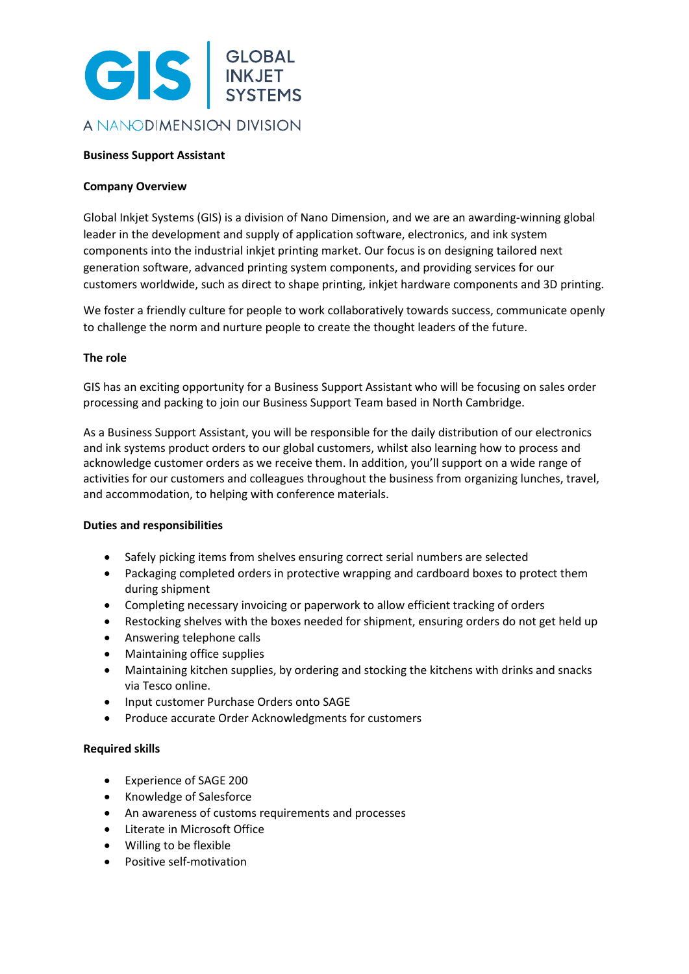

# **Business Support Assistant**

### **Company Overview**

Global Inkjet Systems (GIS) is a division of Nano Dimension, and we are an awarding-winning global leader in the development and supply of application software, electronics, and ink system components into the industrial inkjet printing market. Our focus is on designing tailored next generation software, advanced printing system components, and providing services for our customers worldwide, such as direct to shape printing, inkjet hardware components and 3D printing.

We foster a friendly culture for people to work collaboratively towards success, communicate openly to challenge the norm and nurture people to create the thought leaders of the future.

#### **The role**

GIS has an exciting opportunity for a Business Support Assistant who will be focusing on sales order processing and packing to join our Business Support Team based in North Cambridge.

As a Business Support Assistant, you will be responsible for the daily distribution of our electronics and ink systems product orders to our global customers, whilst also learning how to process and acknowledge customer orders as we receive them. In addition, you'll support on a wide range of activities for our customers and colleagues throughout the business from organizing lunches, travel, and accommodation, to helping with conference materials.

## **Duties and responsibilities**

- Safely picking items from shelves ensuring correct serial numbers are selected
- Packaging completed orders in protective wrapping and cardboard boxes to protect them during shipment
- Completing necessary invoicing or paperwork to allow efficient tracking of orders
- Restocking shelves with the boxes needed for shipment, ensuring orders do not get held up
- Answering telephone calls
- Maintaining office supplies
- Maintaining kitchen supplies, by ordering and stocking the kitchens with drinks and snacks via Tesco online.
- Input customer Purchase Orders onto SAGE
- Produce accurate Order Acknowledgments for customers

## **Required skills**

- Experience of SAGE 200
- Knowledge of Salesforce
- An awareness of customs requirements and processes
- Literate in Microsoft Office
- Willing to be flexible
- Positive self-motivation